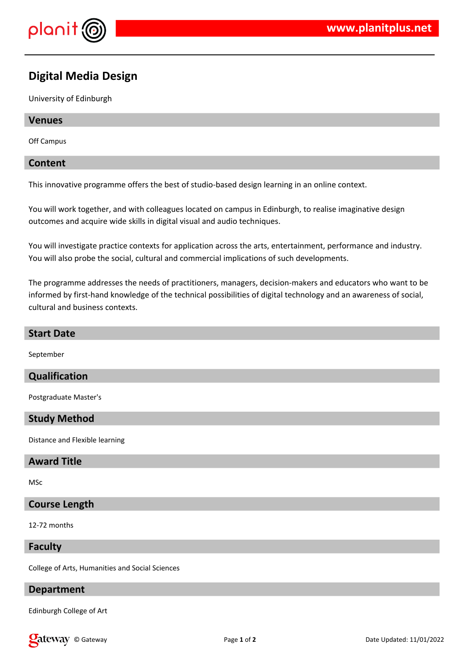

# **Digital Media Design**

University of Edinburgh

## **Venues**

Off Campus

## **Content**

This innovative programme offers the best of studio-based design learning in an online context.

You will work together, and with colleagues located on campus in Edinburgh, to realise imaginative design outcomes and acquire wide skills in digital visual and audio techniques.

You will investigate practice contexts for application across the arts, entertainment, performance and industry. You will also probe the social, cultural and commercial implications of such developments.

The programme addresses the needs of practitioners, managers, decision-makers and educators who want to be informed by first-hand knowledge of the technical possibilities of digital technology and an awareness of social, cultural and business contexts.

## **Start Date**

September

# **Qualification**

Postgraduate Master's

#### **Study Method**

Distance and Flexible learning

#### **Award Title**

MSc

# **Course Length**

12-72 months

#### **Faculty**

College of Arts, Humanities and Social Sciences

## **Department**

Edinburgh College of Art

**Call EXECUTE:** Page 1 of 2 Date Updated: 11/01/2022 Date Updated: 11/01/2022